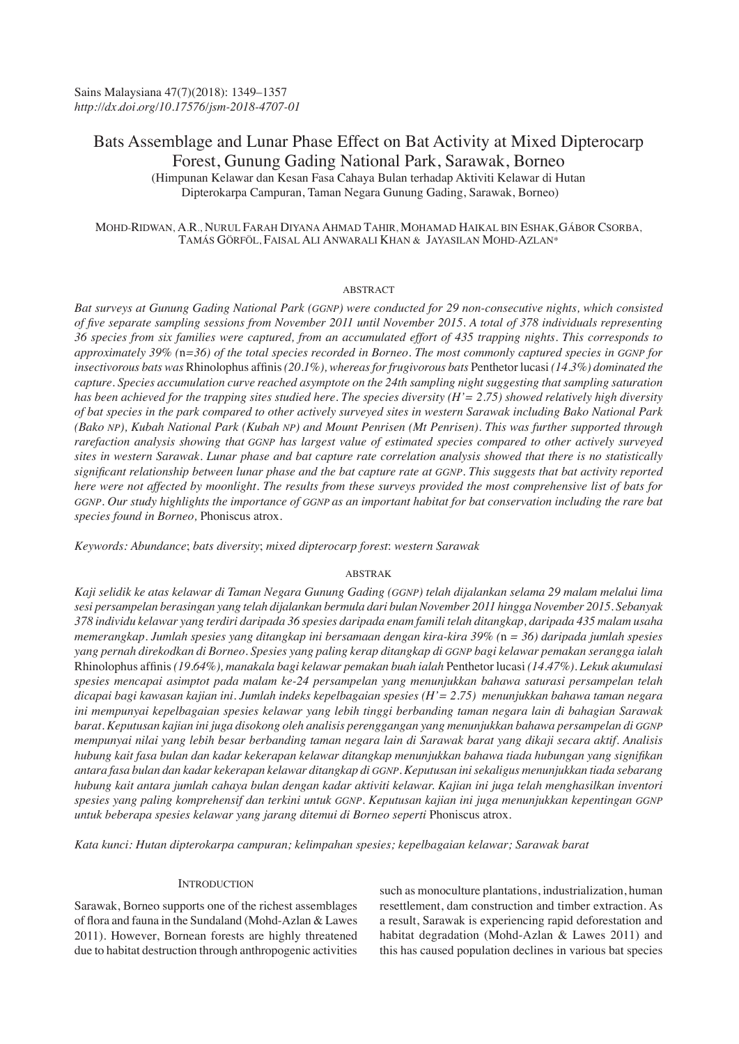# Bats Assemblage and Lunar Phase Effect on Bat Activity at Mixed Dipterocarp Forest, Gunung Gading National Park, Sarawak, Borneo

(Himpunan Kelawar dan Kesan Fasa Cahaya Bulan terhadap Aktiviti Kelawar di Hutan Dipterokarpa Campuran, Taman Negara Gunung Gading, Sarawak, Borneo)

# MOHD-RIDWAN, A.R., NURUL FARAH DIYANA AHMAD TAHIR, MOHAMAD HAIKAL BIN ESHAK,GÁBOR CSORBA, TAMÁS GÖRFÖL, FAISAL ALI ANWARALI KHAN & JAYASILAN MOHD-AZLAN\*

# ABSTRACT

*Bat surveys at Gunung Gading National Park (GGNP) were conducted for 29 non-consecutive nights, which consisted of five separate sampling sessions from November 2011 until November 2015. A total of 378 individuals representing 36 species from six families were captured, from an accumulated effort of 435 trapping nights. This corresponds to approximately 39% (*n*=36) of the total species recorded in Borneo. The most commonly captured species in GGNP for insectivorous bats was* Rhinolophus affinis *(20.1%), whereas for frugivorous bats* Penthetor lucasi *(14.3%) dominated the capture. Species accumulation curve reached asymptote on the 24th sampling night suggesting that sampling saturation has been achieved for the trapping sites studied here. The species diversity (H'= 2.75) showed relatively high diversity of bat species in the park compared to other actively surveyed sites in western Sarawak including Bako National Park (Bako NP), Kubah National Park (Kubah NP) and Mount Penrisen (Mt Penrisen). This was further supported through rarefaction analysis showing that GGNP has largest value of estimated species compared to other actively surveyed sites in western Sarawak. Lunar phase and bat capture rate correlation analysis showed that there is no statistically significant relationship between lunar phase and the bat capture rate at GGNP. This suggests that bat activity reported here were not affected by moonlight. The results from these surveys provided the most comprehensive list of bats for* GGNP. Our study highlights the importance of GGNP as an important habitat for bat conservation including the rare bat *species found in Borneo,* Phoniscus atrox*.*

*Keywords: Abundance*; *bats diversity*; *mixed dipterocarp forest*: *western Sarawak*

# ABSTRAK

*Kaji selidik ke atas kelawar di Taman Negara Gunung Gading (GGNP) telah dijalankan selama 29 malam melalui lima sesi persampelan berasingan yang telah dijalankan bermula dari bulan November 2011 hingga November 2015. Sebanyak 378 individu kelawar yang terdiri daripada 36 spesies daripada enam famili telah ditangkap, daripada 435 malam usaha memerangkap. Jumlah spesies yang ditangkap ini bersamaan dengan kira-kira 39% (*n *= 36) daripada jumlah spesies yang pernah direkodkan di Borneo. Spesies yang paling kerap ditangkap di GGNP bagi kelawar pemakan serangga ialah*  Rhinolophus affinis *(19.64%), manakala bagi kelawar pemakan buah ialah* Penthetor lucasi *(14.47%). Lekuk akumulasi spesies mencapai asimptot pada malam ke-24 persampelan yang menunjukkan bahawa saturasi persampelan telah dicapai bagi kawasan kajian ini. Jumlah indeks kepelbagaian spesies (H'= 2.75) menunjukkan bahawa taman negara ini mempunyai kepelbagaian spesies kelawar yang lebih tinggi berbanding taman negara lain di bahagian Sarawak barat. Keputusan kajian ini juga disokong oleh analisis perenggangan yang menunjukkan bahawa persampelan di GGNP mempunyai nilai yang lebih besar berbanding taman negara lain di Sarawak barat yang dikaji secara aktif. Analisis hubung kait fasa bulan dan kadar kekerapan kelawar ditangkap menunjukkan bahawa tiada hubungan yang signifikan antara fasa bulan dan kadar kekerapan kelawar ditangkap di GGNP. Keputusan ini sekaligus menunjukkan tiada sebarang hubung kait antara jumlah cahaya bulan dengan kadar aktiviti kelawar. Kajian ini juga telah menghasilkan inventori spesies yang paling komprehensif dan terkini untuk GGNP. Keputusan kajian ini juga menunjukkan kepentingan GGNP untuk beberapa spesies kelawar yang jarang ditemui di Borneo seperti* Phoniscus atrox*.*

*Kata kunci: Hutan dipterokarpa campuran; kelimpahan spesies; kepelbagaian kelawar; Sarawak barat* 

# **INTRODUCTION**

Sarawak, Borneo supports one of the richest assemblages of flora and fauna in the Sundaland (Mohd-Azlan & Lawes 2011). However, Bornean forests are highly threatened due to habitat destruction through anthropogenic activities such as monoculture plantations, industrialization, human resettlement, dam construction and timber extraction. As a result, Sarawak is experiencing rapid deforestation and habitat degradation (Mohd-Azlan & Lawes 2011) and this has caused population declines in various bat species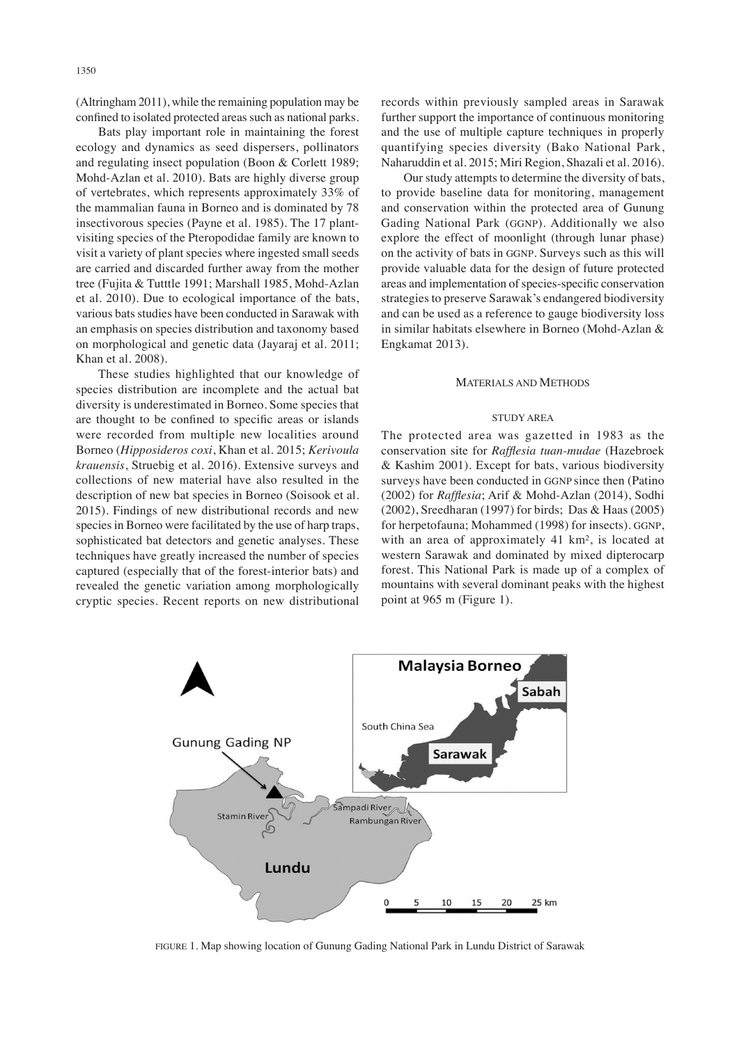(Altringham 2011), while the remaining population may be confined to isolated protected areas such as national parks.

Bats play important role in maintaining the forest ecology and dynamics as seed dispersers, pollinators and regulating insect population (Boon & Corlett 1989; Mohd-Azlan et al. 2010). Bats are highly diverse group of vertebrates, which represents approximately 33% of the mammalian fauna in Borneo and is dominated by 78 insectivorous species (Payne et al. 1985). The 17 plantvisiting species of the Pteropodidae family are known to visit a variety of plant species where ingested small seeds are carried and discarded further away from the mother tree (Fujita & Tutttle 1991; Marshall 1985, Mohd-Azlan et al. 2010). Due to ecological importance of the bats, various bats studies have been conducted in Sarawak with an emphasis on species distribution and taxonomy based on morphological and genetic data (Jayaraj et al*.* 2011; Khan et al. 2008).

These studies highlighted that our knowledge of species distribution are incomplete and the actual bat diversity is underestimated in Borneo. Some species that are thought to be confined to specific areas or islands were recorded from multiple new localities around Borneo (*Hipposideros coxi*, Khan et al. 2015; *Kerivoula krauensis*, Struebig et al. 2016). Extensive surveys and collections of new material have also resulted in the description of new bat species in Borneo (Soisook et al. 2015). Findings of new distributional records and new species in Borneo were facilitated by the use of harp traps, sophisticated bat detectors and genetic analyses. These techniques have greatly increased the number of species captured (especially that of the forest-interior bats) and revealed the genetic variation among morphologically cryptic species. Recent reports on new distributional

records within previously sampled areas in Sarawak further support the importance of continuous monitoring and the use of multiple capture techniques in properly quantifying species diversity (Bako National Park, Naharuddin et al. 2015; Miri Region, Shazali et al. 2016).

Our study attempts to determine the diversity of bats, to provide baseline data for monitoring, management and conservation within the protected area of Gunung Gading National Park (GGNP). Additionally we also explore the effect of moonlight (through lunar phase) on the activity of bats in GGNP. Surveys such as this will provide valuable data for the design of future protected areas and implementation of species-specific conservation strategies to preserve Sarawak's endangered biodiversity and can be used as a reference to gauge biodiversity loss in similar habitats elsewhere in Borneo (Mohd-Azlan & Engkamat 2013).

#### MATERIALS AND METHODS

# STUDY AREA

The protected area was gazetted in 1983 as the conservation site for *Rafflesia tuan-mudae* (Hazebroek & Kashim 2001). Except for bats, various biodiversity surveys have been conducted in GGNP since then (Patino (2002) for *Rafflesia*; Arif & Mohd-Azlan (2014), Sodhi (2002), Sreedharan (1997) for birds; Das & Haas (2005) for herpetofauna; Mohammed (1998) for insects). GGNP, with an area of approximately 41 km², is located at western Sarawak and dominated by mixed dipterocarp forest. This National Park is made up of a complex of mountains with several dominant peaks with the highest point at 965 m (Figure 1).



FIGURE 1. Map showing location of Gunung Gading National Park in Lundu District of Sarawak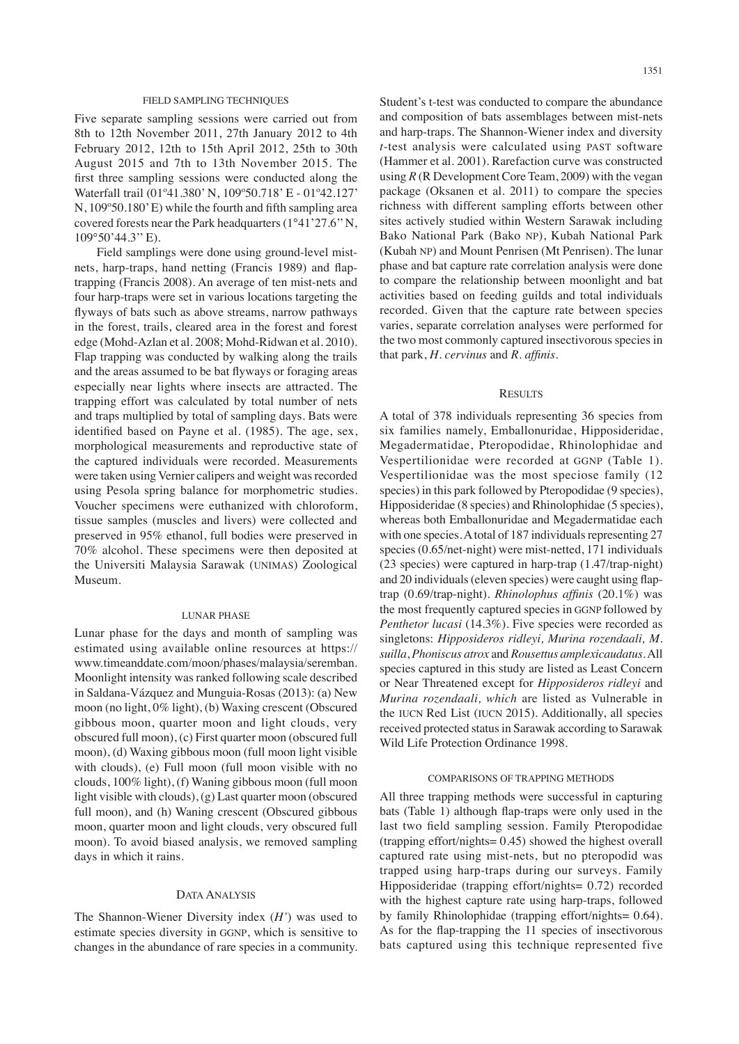# FIELD SAMPLING TECHNIQUES

Five separate sampling sessions were carried out from 8th to 12th November 2011, 27th January 2012 to 4th February 2012, 12th to 15th April 2012, 25th to 30th August 2015 and 7th to 13th November 2015. The first three sampling sessions were conducted along the Waterfall trail (01º41.380' N, 109º50.718' E - 01º42.127' N, 109º50.180' E) while the fourth and fifth sampling area covered forests near the Park headquarters (1°41'27.6'' N, 109°50'44.3'' E).

Field samplings were done using ground-level mistnets, harp-traps, hand netting (Francis 1989) and flaptrapping (Francis 2008). An average of ten mist-nets and four harp-traps were set in various locations targeting the flyways of bats such as above streams, narrow pathways in the forest, trails, cleared area in the forest and forest edge (Mohd-Azlan et al*.* 2008; Mohd-Ridwan et al*.* 2010). Flap trapping was conducted by walking along the trails and the areas assumed to be bat flyways or foraging areas especially near lights where insects are attracted. The trapping effort was calculated by total number of nets and traps multiplied by total of sampling days. Bats were identified based on Payne et al*.* (1985). The age, sex, morphological measurements and reproductive state of the captured individuals were recorded. Measurements were taken using Vernier calipers and weight was recorded using Pesola spring balance for morphometric studies. Voucher specimens were euthanized with chloroform, tissue samples (muscles and livers) were collected and preserved in 95% ethanol, full bodies were preserved in 70% alcohol. These specimens were then deposited at the Universiti Malaysia Sarawak (UNIMAS) Zoological Museum.

#### LUNAR PHASE

Lunar phase for the days and month of sampling was estimated using available online resources at https:// www.timeanddate.com/moon/phases/malaysia/seremban. Moonlight intensity was ranked following scale described in Saldana-Vázquez and Munguia-Rosas (2013): (a) New moon (no light, 0% light), (b) Waxing crescent (Obscured gibbous moon, quarter moon and light clouds, very obscured full moon), (c) First quarter moon (obscured full moon), (d) Waxing gibbous moon (full moon light visible with clouds), (e) Full moon (full moon visible with no clouds, 100% light), (f) Waning gibbous moon (full moon light visible with clouds), (g) Last quarter moon (obscured full moon), and (h) Waning crescent (Obscured gibbous moon, quarter moon and light clouds, very obscured full moon). To avoid biased analysis, we removed sampling days in which it rains.

#### DATA ANALYSIS

The Shannon-Wiener Diversity index (*H'*) was used to estimate species diversity in GGNP, which is sensitive to changes in the abundance of rare species in a community. Student's t-test was conducted to compare the abundance and composition of bats assemblages between mist-nets and harp-traps. The Shannon-Wiener index and diversity *t*-test analysis were calculated using PAST software (Hammer et al. 2001). Rarefaction curve was constructed using *R* (R Development Core Team, 2009) with the vegan package (Oksanen et al. 2011) to compare the species richness with different sampling efforts between other sites actively studied within Western Sarawak including Bako National Park (Bako NP), Kubah National Park (Kubah NP) and Mount Penrisen (Mt Penrisen). The lunar phase and bat capture rate correlation analysis were done to compare the relationship between moonlight and bat activities based on feeding guilds and total individuals recorded. Given that the capture rate between species varies, separate correlation analyses were performed for the two most commonly captured insectivorous species in that park, *H. cervinus* and *R. affinis.*

# **RESULTS**

A total of 378 individuals representing 36 species from six families namely, Emballonuridae, Hipposideridae, Megadermatidae, Pteropodidae, Rhinolophidae and Vespertilionidae were recorded at GGNP (Table 1). Vespertilionidae was the most speciose family (12 species) in this park followed by Pteropodidae (9 species), Hipposideridae (8 species) and Rhinolophidae (5 species), whereas both Emballonuridae and Megadermatidae each with one species. A total of 187 individuals representing 27 species (0.65/net-night) were mist-netted, 171 individuals (23 species) were captured in harp-trap (1.47/trap-night) and 20 individuals (eleven species) were caught using flaptrap (0.69/trap-night). *Rhinolophus affinis* (20.1%) was the most frequently captured species in GGNP followed by *Penthetor lucasi* (14.3%). Five species were recorded as singletons: *Hipposideros ridleyi, Murina rozendaali, M. suilla*, *Phoniscus atrox* and *Rousettus amplexicaudatus*. All species captured in this study are listed as Least Concern or Near Threatened except for *Hipposideros ridleyi* and *Murina rozendaali, which* are listed as Vulnerable in the IUCN Red List (IUCN 2015). Additionally, all species received protected status in Sarawak according to Sarawak Wild Life Protection Ordinance 1998.

#### COMPARISONS OF TRAPPING METHODS

All three trapping methods were successful in capturing bats (Table 1) although flap-traps were only used in the last two field sampling session. Family Pteropodidae (trapping effort/nights= 0.45) showed the highest overall captured rate using mist-nets, but no pteropodid was trapped using harp-traps during our surveys. Family Hipposideridae (trapping effort/nights= 0.72) recorded with the highest capture rate using harp-traps, followed by family Rhinolophidae (trapping effort/nights= 0.64). As for the flap-trapping the 11 species of insectivorous bats captured using this technique represented five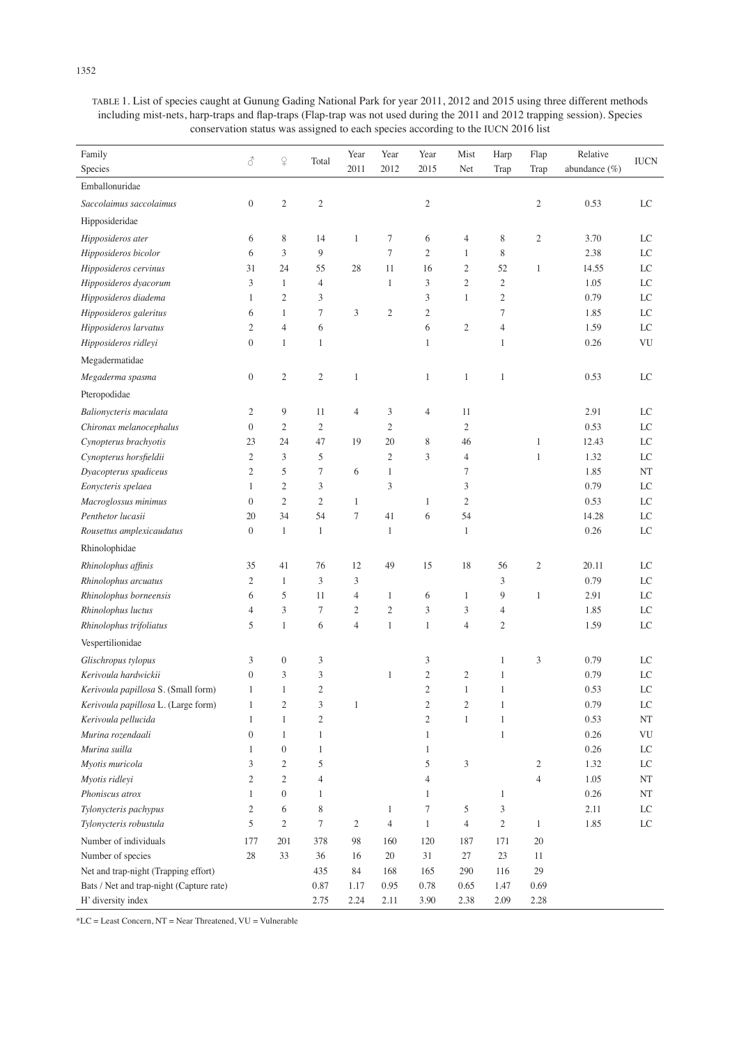| TABLE 1. List of species caught at Gunung Gading National Park for year 2011, 2012 and 2015 using three different methods  |
|----------------------------------------------------------------------------------------------------------------------------|
| including mist-nets, harp-traps and flap-traps (Flap-trap was not used during the 2011 and 2012 trapping session). Species |
| conservation status was assigned to each species according to the IUCN 2016 list                                           |

| Family                                           |                  |                        |                | Year           | Year                | Year           | Mist             | Harp                 | Flap             | Relative         |             |
|--------------------------------------------------|------------------|------------------------|----------------|----------------|---------------------|----------------|------------------|----------------------|------------------|------------------|-------------|
| Species                                          | 8                | $\hbox{$\mathcal{Q}$}$ | Total          | 2011           | 2012                | 2015           | Net              | Trap                 | Trap             | abundance $(\%)$ | <b>IUCN</b> |
| Emballonuridae                                   |                  |                        |                |                |                     |                |                  |                      |                  |                  |             |
| Saccolaimus saccolaimus                          | $\boldsymbol{0}$ | $\boldsymbol{2}$       | $\mathfrak{2}$ |                |                     | $\mathfrak{2}$ |                  |                      | $\mathfrak{2}$   | 0.53             | LC          |
| Hipposideridae                                   |                  |                        |                |                |                     |                |                  |                      |                  |                  |             |
| Hipposideros ater                                | 6                | 8                      | 14             | $\mathbf{1}$   | $\tau$              | 6              | $\overline{4}$   | $\,$ 8 $\,$          | $\mathfrak{2}$   | 3.70             | LC          |
| Hipposideros bicolor                             | 6                | 3                      | 9              |                | $\tau$              | $\mathfrak{2}$ | $\mathbf{1}$     | 8                    |                  | 2.38             | LC          |
| Hipposideros cervinus                            | 31               | 24                     | 55             | 28             | 11                  | 16             | $\mathfrak{2}$   | 52                   | 1                | 14.55            | LC          |
| Hipposideros dyacorum                            | 3                | $\mathbf{1}$           | $\overline{4}$ |                | 1                   | 3              | $\mathfrak{2}$   | $\sqrt{2}$           |                  | 1.05             | LC          |
| Hipposideros diadema                             | 1                | $\overline{c}$         | 3              |                |                     | 3              | $\mathbf{1}$     | $\mathfrak{2}$       |                  | 0.79             | LC          |
| Hipposideros galeritus                           | 6                | $\mathbf{1}$           | $\overline{7}$ | 3              | $\mathfrak{2}$      | $\mathfrak{2}$ |                  | $\tau$               |                  | 1.85             | LC          |
| Hipposideros larvatus                            | $\mathfrak{2}$   | $\overline{4}$         | 6              |                |                     | 6              | $\mathfrak{2}$   | $\overline{4}$       |                  | 1.59             | LC          |
| Hipposideros ridleyi                             | $\boldsymbol{0}$ | $\mathbf{1}$           | 1              |                |                     | $\mathbf{1}$   |                  | $\mathbf{1}$         |                  | 0.26             | VU          |
| Megadermatidae                                   |                  |                        |                |                |                     |                |                  |                      |                  |                  |             |
| Megaderma spasma                                 | $\boldsymbol{0}$ | $\mathfrak{2}$         | $\mathfrak{2}$ | $\mathbf{1}$   |                     | $\mathbf{1}$   | $\mathbf{1}$     | $\mathbf{1}$         |                  | 0.53             | LC          |
| Pteropodidae                                     |                  |                        |                |                |                     |                |                  |                      |                  |                  |             |
|                                                  | 2                | 9                      | 11             | $\overline{4}$ |                     |                | 11               |                      |                  | 2.91             | LC          |
| Balionycteris maculata                           | $\boldsymbol{0}$ | $\mathfrak{2}$         | $\mathfrak{2}$ |                | 3<br>$\mathfrak{2}$ | $\overline{4}$ | $\mathfrak{2}$   |                      |                  | 0.53             | $_{\rm LC}$ |
| Chironax melanocephalus<br>Cynopterus brachyotis | 23               | 24                     | 47             | 19             | 20                  | 8              | 46               |                      | $\mathbf{1}$     | 12.43            | LC          |
| Cynopterus horsfieldii                           | $\mathfrak{2}$   | 3                      | 5              |                | $\mathfrak{2}$      | 3              | $\overline{4}$   |                      | $\mathbf{1}$     | 1.32             | LC          |
| Dyacopterus spadiceus                            | $\mathfrak{2}$   | 5                      | $\tau$         | 6              | $\mathbf{1}$        |                | 7                |                      |                  | 1.85             | NT          |
| Eonycteris spelaea                               | $\mathbf{1}$     | $\mathfrak{2}$         | 3              |                | 3                   |                | 3                |                      |                  | 0.79             | LC          |
| Macroglossus minimus                             | $\boldsymbol{0}$ | $\mathfrak{2}$         | $\overline{2}$ | $\mathbf{1}$   |                     | 1              | $\mathfrak{2}$   |                      |                  | 0.53             | $_{\rm LC}$ |
| Penthetor lucasii                                | 20               | 34                     | 54             | $\overline{7}$ | 41                  | 6              | 54               |                      |                  | 14.28            | $_{\rm LC}$ |
| Rousettus amplexicaudatus                        | $\boldsymbol{0}$ | $\mathbf{1}$           | $\mathbf{1}$   |                | 1                   |                | $\mathbf{1}$     |                      |                  | 0.26             | $_{\rm LC}$ |
|                                                  |                  |                        |                |                |                     |                |                  |                      |                  |                  |             |
| Rhinolophidae                                    |                  |                        |                |                |                     |                |                  |                      |                  |                  |             |
| Rhinolophus affinis                              | 35               | 41                     | 76             | 12             | 49                  | 15             | 18               | 56                   | $\overline{c}$   | 20.11            | LC          |
| Rhinolophus arcuatus                             | 2                | $\mathbf{1}$           | 3              | 3              |                     |                |                  | 3                    |                  | 0.79             | LC          |
| Rhinolophus borneensis                           | 6                | 5                      | 11             | $\overline{4}$ | $\mathbf{1}$        | 6              | $\mathbf{1}$     | 9                    | $\mathbf{1}$     | 2.91             | LC          |
| Rhinolophus luctus                               | 4                | 3                      | $\tau$         | 2              | $\mathbf{2}$        | 3              | 3                | $\overline{4}$       |                  | 1.85             | LC          |
| Rhinolophus trifoliatus                          | 5                | $\mathbf{1}$           | 6              | $\overline{4}$ | $\mathbf{1}$        | $\mathbf{1}$   | $\overline{4}$   | $\overline{c}$       |                  | 1.59             | LC          |
| Vespertilionidae                                 |                  |                        |                |                |                     |                |                  |                      |                  |                  |             |
| Glischropus tylopus                              | 3                | $\boldsymbol{0}$       | 3              |                |                     | 3              |                  | $\mathbf{1}$         | 3                | 0.79             | LC          |
| Kerivoula hardwickii                             | $\boldsymbol{0}$ | 3                      | 3              |                | 1                   | $\sqrt{2}$     | $\sqrt{2}$       | $\mathbf{1}$         |                  | 0.79             | LC          |
| Kerivoula papillosa S. (Small form)              | 1                | $\mathbf{1}$           | $\overline{2}$ |                |                     | $\mathfrak{2}$ | $\mathbf{1}$     | $\mathbf{1}$         |                  | 0.53             | LC          |
| Kerivoula papillosa L. (Large form)              | $\mathbf{1}$     | $\mathfrak{2}$         | 3              | $\mathbf{1}$   |                     | $\sqrt{2}$     | $\boldsymbol{2}$ | $\mathbf{1}$         |                  | 0.79             | $\rm LC$    |
| Kerivoula pellucida                              | $\mathbf{1}$     | $\mathbf{1}$           | $\mathfrak{2}$ |                |                     | $\mathbf{2}$   | $1\,$            | $\mathbf{1}$         |                  | 0.53             | $\rm{NT}$   |
| Murina rozendaali                                | $\boldsymbol{0}$ | $\mathbf{1}$           | 1              |                |                     | $\mathbf{1}$   |                  | $\mathbf{1}$         |                  | 0.26             | VU          |
| Murina suilla                                    | $\mathbf{1}$     | $\boldsymbol{0}$       | 1              |                |                     | $\mathbf{1}$   |                  |                      |                  | 0.26             | LC          |
| Myotis muricola                                  | 3                | $\mathfrak{2}$         | 5              |                |                     | 5              | 3                |                      | $\boldsymbol{2}$ | 1.32             | LC          |
| Myotis ridleyi                                   | $\overline{c}$   | $\mathfrak{2}$         | $\overline{4}$ |                |                     | $\overline{4}$ |                  |                      | $\overline{4}$   | $1.05\,$         | NT          |
| Phoniscus atrox                                  | $\mathbf{1}$     | $\boldsymbol{0}$       | 1              |                |                     | 1              |                  | $\mathbf{1}$         |                  | 0.26             | NT          |
| Tylonycteris pachypus                            | $\overline{c}$   | 6                      | $\,$ 8 $\,$    |                | $\mathbf{1}$        | $\tau$         | 5                | $\boldsymbol{\beta}$ |                  | 2.11             | $_{\rm LC}$ |
| Tylonycteris robustula                           | 5                | $\mathfrak{2}$         | $\tau$         | $\overline{c}$ | $\overline{4}$      | $\mathbf{1}$   | $\overline{4}$   | $\sqrt{2}$           | $\mathbf{1}$     | 1.85             | LC          |
| Number of individuals                            | 177              | 201                    | 378            | 98             | 160                 | 120            | 187              | 171                  | 20               |                  |             |
| Number of species                                | $28\,$           | 33                     | 36             | 16             | 20                  | 31             | $27\,$           | $23\,$               | 11               |                  |             |
| Net and trap-night (Trapping effort)             |                  |                        | 435            | 84             | 168                 | 165            | 290              | 116                  | 29               |                  |             |
| Bats / Net and trap-night (Capture rate)         |                  |                        | 0.87           | 1.17           | 0.95                | 0.78           | 0.65             | 1.47                 | 0.69             |                  |             |
| H' diversity index                               |                  |                        | 2.75           | 2.24           | $2.11\,$            | 3.90           | 2.38             | 2.09                 | 2.28             |                  |             |

\*LC = Least Concern, NT = Near Threatened, VU = Vulnerable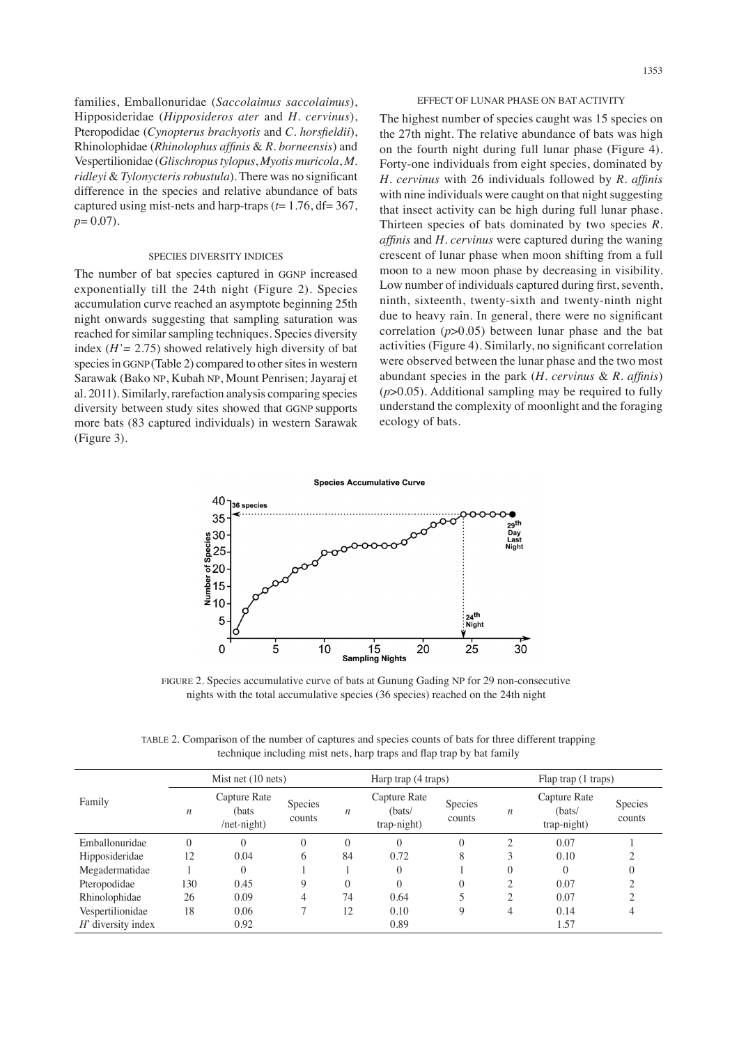families, Emballonuridae (*Saccolaimus saccolaimus*), Hipposideridae (*Hipposideros ater* and *H. cervinus*), Pteropodidae (*Cynopterus brachyotis* and *C. horsfieldii*), Rhinolophidae (*Rhinolophus affinis* & *R. borneensis*) and Vespertilionidae (*Glischropus tylopus*, *Myotis muricola*, *M. ridleyi* & *Tylonycteris robustula*). There was no significant difference in the species and relative abundance of bats captured using mist-nets and harp-traps (*t*= 1.76, df= 367, *p*= 0.07).

# SPECIES DIVERSITY INDICES

The number of bat species captured in GGNP increased exponentially till the 24th night (Figure 2). Species accumulation curve reached an asymptote beginning 25th night onwards suggesting that sampling saturation was reached for similar sampling techniques. Species diversity index (*H'=* 2.75) showed relatively high diversity of bat species in GGNP (Table 2) compared to other sites in western Sarawak (Bako NP, Kubah NP, Mount Penrisen; Jayaraj et al. 2011). Similarly, rarefaction analysis comparing species diversity between study sites showed that GGNP supports more bats (83 captured individuals) in western Sarawak (Figure 3).

# EFFECT OF LUNAR PHASE ON BAT ACTIVITY

The highest number of species caught was 15 species on the 27th night. The relative abundance of bats was high on the fourth night during full lunar phase (Figure 4). Forty-one individuals from eight species, dominated by *H. cervinus* with 26 individuals followed by *R. affinis* with nine individuals were caught on that night suggesting that insect activity can be high during full lunar phase. Thirteen species of bats dominated by two species *R. affinis* and *H. cervinus* were captured during the waning crescent of lunar phase when moon shifting from a full moon to a new moon phase by decreasing in visibility. Low number of individuals captured during first, seventh, ninth, sixteenth, twenty-sixth and twenty-ninth night due to heavy rain. In general, there were no significant correlation (*p*>0.05) between lunar phase and the bat activities (Figure 4). Similarly, no significant correlation were observed between the lunar phase and the two most abundant species in the park (*H. cervinus* & *R. affinis*) (*p*>0.05). Additional sampling may be required to fully understand the complexity of moonlight and the foraging ecology of bats.



FIGURE 2. Species accumulative curve of bats at Gunung Gading NP for 29 non-consecutive nights with the total accumulative species (36 species) reached on the 24th night

TABLE 2. Comparison of the number of captures and species counts of bats for three different trapping technique including mist nets, harp traps and flap trap by bat family

| Family               |                  | Mist net $(10$ nets)                          |                   |                  | Harp trap (4 traps)                   |                   | Flap trap (1 traps) |                                       |                          |  |
|----------------------|------------------|-----------------------------------------------|-------------------|------------------|---------------------------------------|-------------------|---------------------|---------------------------------------|--------------------------|--|
|                      | $\boldsymbol{n}$ | Capture Rate<br>(bats)<br>$/net\text{-night}$ | Species<br>counts | $\boldsymbol{n}$ | Capture Rate<br>(bats/<br>trap-night) | Species<br>counts | n                   | Capture Rate<br>(bats/<br>trap-night) | <b>Species</b><br>counts |  |
| Emballonuridae       | 0                | 0                                             | 0                 | $\Omega$         | 0                                     | $\Omega$          | $\bigcirc$          | 0.07                                  |                          |  |
| Hipposideridae       | 12               | 0.04                                          | 6                 | 84               | 0.72                                  | 8                 | 3                   | 0.10                                  |                          |  |
| Megadermatidae       |                  | $\theta$                                      |                   |                  | 0                                     |                   | $\theta$            | $\theta$                              |                          |  |
| Pteropodidae         | 130              | 0.45                                          | 9                 | $\theta$         |                                       | 0                 | ↑                   | 0.07                                  |                          |  |
| Rhinolophidae        | 26               | 0.09                                          | 4                 | 74               | 0.64                                  |                   | C                   | 0.07                                  |                          |  |
| Vespertilionidae     | 18               | 0.06                                          |                   | 12               | 0.10                                  | 9                 | 4                   | 0.14                                  | 4                        |  |
| $H'$ diversity index |                  | 0.92                                          |                   |                  | 0.89                                  |                   |                     | 1.57                                  |                          |  |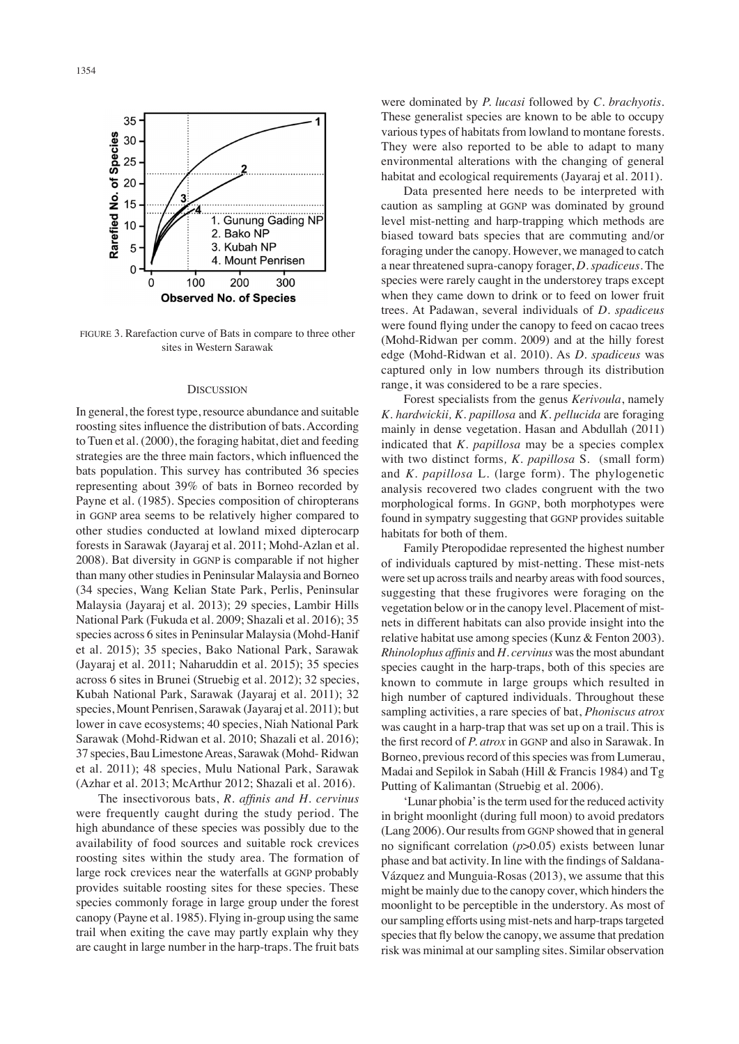

FIGURE 3. Rarefaction curve of Bats in compare to three other sites in Western Sarawak

#### **DISCUSSION**

In general, the forest type, resource abundance and suitable roosting sites influence the distribution of bats. According to Tuen et al. (2000), the foraging habitat, diet and feeding strategies are the three main factors, which influenced the bats population. This survey has contributed 36 species representing about 39% of bats in Borneo recorded by Payne et al. (1985). Species composition of chiropterans in GGNP area seems to be relatively higher compared to other studies conducted at lowland mixed dipterocarp forests in Sarawak (Jayaraj et al. 2011; Mohd-Azlan et al. 2008). Bat diversity in GGNP is comparable if not higher than many other studies in Peninsular Malaysia and Borneo (34 species, Wang Kelian State Park, Perlis, Peninsular Malaysia (Jayaraj et al. 2013); 29 species, Lambir Hills National Park (Fukuda et al. 2009; Shazali et al. 2016); 35 species across 6 sites in Peninsular Malaysia (Mohd-Hanif et al. 2015); 35 species, Bako National Park, Sarawak (Jayaraj et al. 2011; Naharuddin et al. 2015); 35 species across 6 sites in Brunei (Struebig et al. 2012); 32 species, Kubah National Park, Sarawak (Jayaraj et al. 2011); 32 species, Mount Penrisen, Sarawak (Jayaraj et al. 2011); but lower in cave ecosystems; 40 species, Niah National Park Sarawak (Mohd-Ridwan et al. 2010; Shazali et al. 2016); 37 species, Bau Limestone Areas, Sarawak (Mohd- Ridwan et al. 2011); 48 species, Mulu National Park, Sarawak (Azhar et al. 2013; McArthur 2012; Shazali et al. 2016).

The insectivorous bats, *R. affinis and H. cervinus*  were frequently caught during the study period. The high abundance of these species was possibly due to the availability of food sources and suitable rock crevices roosting sites within the study area. The formation of large rock crevices near the waterfalls at GGNP probably provides suitable roosting sites for these species. These species commonly forage in large group under the forest canopy (Payne et al. 1985). Flying in-group using the same trail when exiting the cave may partly explain why they are caught in large number in the harp-traps. The fruit bats were dominated by *P. lucasi* followed by *C. brachyotis*. These generalist species are known to be able to occupy various types of habitats from lowland to montane forests. They were also reported to be able to adapt to many environmental alterations with the changing of general habitat and ecological requirements (Jayaraj et al. 2011).

Data presented here needs to be interpreted with caution as sampling at GGNP was dominated by ground level mist-netting and harp-trapping which methods are biased toward bats species that are commuting and/or foraging under the canopy. However, we managed to catch a near threatened supra-canopy forager, *D. spadiceus*. The species were rarely caught in the understorey traps except when they came down to drink or to feed on lower fruit trees. At Padawan, several individuals of *D. spadiceus* were found flying under the canopy to feed on cacao trees (Mohd-Ridwan per comm. 2009) and at the hilly forest edge (Mohd-Ridwan et al. 2010). As *D. spadiceus* was captured only in low numbers through its distribution range, it was considered to be a rare species.

Forest specialists from the genus *Kerivoula*, namely *K. hardwickii, K. papillosa* and *K. pellucida* are foraging mainly in dense vegetation. Hasan and Abdullah (2011) indicated that *K. papillosa* may be a species complex with two distinct forms*, K. papillosa* S*.* (small form) and *K. papillosa* L. (large form). The phylogenetic analysis recovered two clades congruent with the two morphological forms. In GGNP, both morphotypes were found in sympatry suggesting that GGNP provides suitable habitats for both of them.

Family Pteropodidae represented the highest number of individuals captured by mist-netting. These mist-nets were set up across trails and nearby areas with food sources, suggesting that these frugivores were foraging on the vegetation below or in the canopy level. Placement of mistnets in different habitats can also provide insight into the relative habitat use among species (Kunz & Fenton 2003). *Rhinolophus affinis* and *H. cervinus* was the most abundant species caught in the harp-traps, both of this species are known to commute in large groups which resulted in high number of captured individuals. Throughout these sampling activities, a rare species of bat, *Phoniscus atrox* was caught in a harp-trap that was set up on a trail. This is the first record of *P. atrox* in GGNP and also in Sarawak. In Borneo, previous record of this species was from Lumerau, Madai and Sepilok in Sabah (Hill & Francis 1984) and Tg Putting of Kalimantan (Struebig et al. 2006).

'Lunar phobia' is the term used for the reduced activity in bright moonlight (during full moon) to avoid predators (Lang 2006). Our results from GGNP showed that in general no significant correlation (*p*>0.05) exists between lunar phase and bat activity. In line with the findings of Saldana-Vázquez and Munguia-Rosas (2013), we assume that this might be mainly due to the canopy cover, which hinders the moonlight to be perceptible in the understory. As most of our sampling efforts using mist-nets and harp-traps targeted species that fly below the canopy, we assume that predation risk was minimal at our sampling sites. Similar observation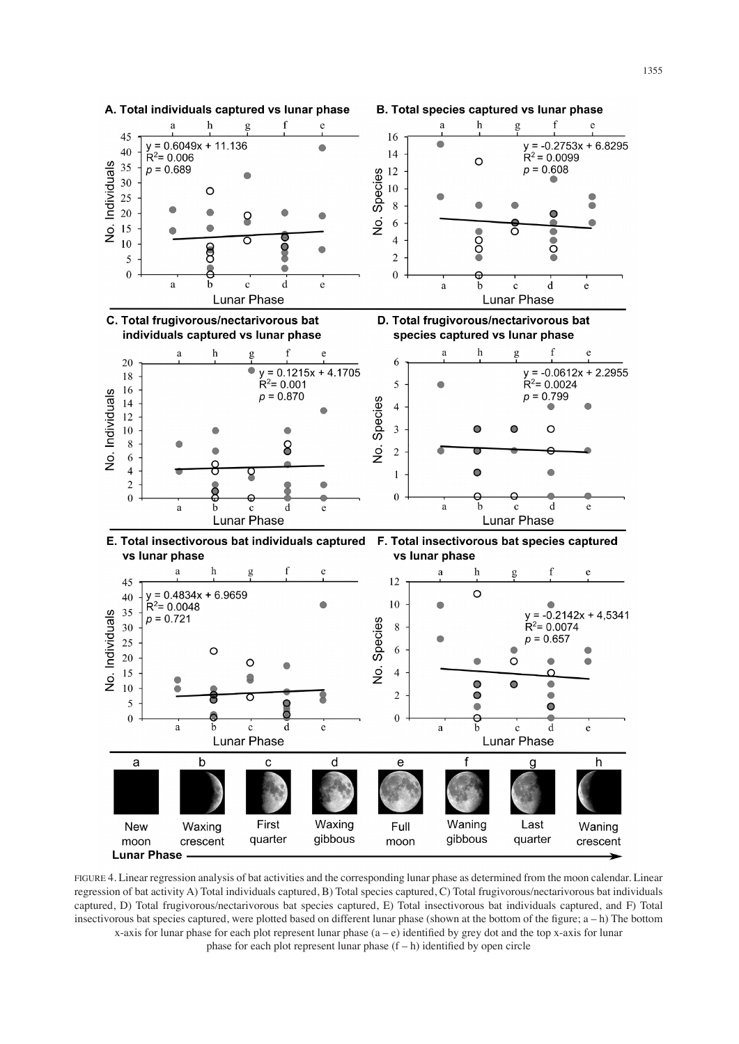

FIGURE 4. Linear regression analysis of bat activities and the corresponding lunar phase as determined from the moon calendar. Linear regression of bat activity A) Total individuals captured, B) Total species captured, C) Total frugivorous/nectarivorous bat individuals captured, D) Total frugivorous/nectarivorous bat species captured, E) Total insectivorous bat individuals captured, and F) Total insectivorous bat species captured, were plotted based on different lunar phase (shown at the bottom of the figure; a – h) The bottom x-axis for lunar phase for each plot represent lunar phase  $(a - e)$  identified by grey dot and the top x-axis for lunar phase for each plot represent lunar phase  $(f - h)$  identified by open circle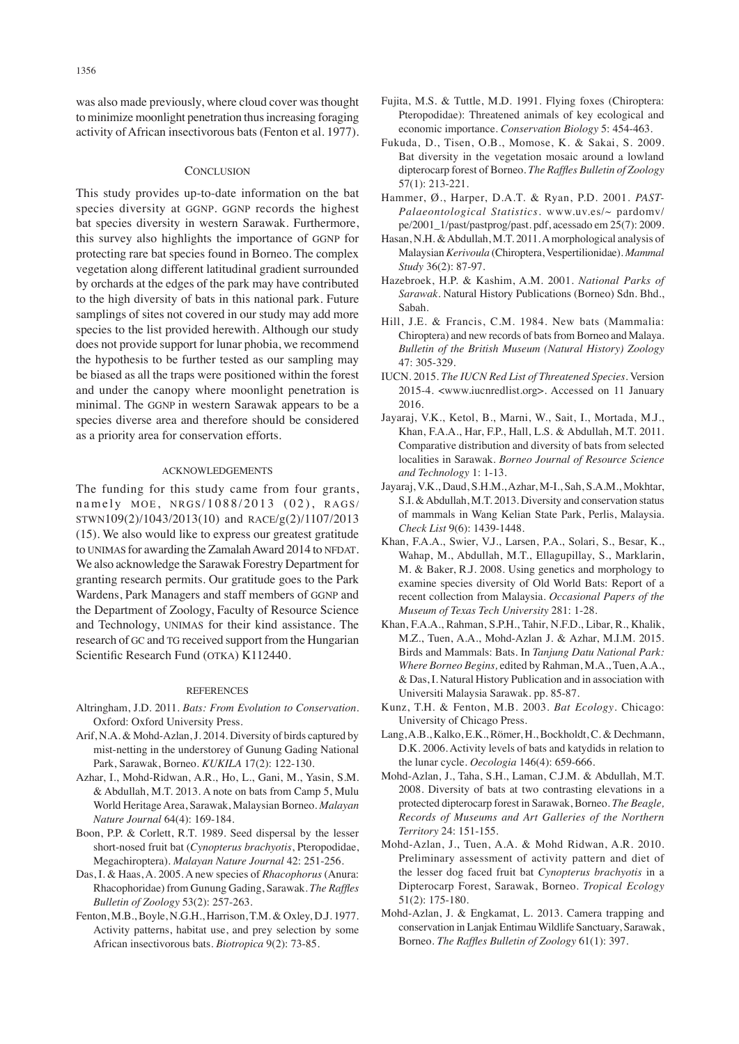was also made previously, where cloud cover was thought to minimize moonlight penetration thus increasing foraging activity of African insectivorous bats (Fenton et al. 1977).

#### **CONCLUSION**

This study provides up-to-date information on the bat species diversity at GGNP. GGNP records the highest bat species diversity in western Sarawak. Furthermore, this survey also highlights the importance of GGNP for protecting rare bat species found in Borneo. The complex vegetation along different latitudinal gradient surrounded by orchards at the edges of the park may have contributed to the high diversity of bats in this national park. Future samplings of sites not covered in our study may add more species to the list provided herewith. Although our study does not provide support for lunar phobia, we recommend the hypothesis to be further tested as our sampling may be biased as all the traps were positioned within the forest and under the canopy where moonlight penetration is minimal. The GGNP in western Sarawak appears to be a species diverse area and therefore should be considered as a priority area for conservation efforts.

### ACKNOWLEDGEMENTS

The funding for this study came from four grants, namely MOE, NRGS/1088/2013 (02), RAGS/ STWN109(2)/1043/2013(10) and RACE/g(2)/1107/2013 (15). We also would like to express our greatest gratitude to UNIMAS for awarding the Zamalah Award 2014 to NFDAT. We also acknowledge the Sarawak Forestry Department for granting research permits. Our gratitude goes to the Park Wardens, Park Managers and staff members of GGNP and the Department of Zoology, Faculty of Resource Science and Technology, UNIMAS for their kind assistance. The research of GC and TG received support from the Hungarian Scientific Research Fund (OTKA) K112440.

#### REFERENCES

- Altringham, J.D. 2011. *Bats: From Evolution to Conservation*. Oxford: Oxford University Press.
- Arif, N.A. & Mohd-Azlan, J. 2014. Diversity of birds captured by mist-netting in the understorey of Gunung Gading National Park, Sarawak, Borneo. *KUKILA* 17(2): 122-130.
- Azhar, I., Mohd-Ridwan, A.R., Ho, L., Gani, M., Yasin, S.M. & Abdullah, M.T. 2013. A note on bats from Camp 5, Mulu World Heritage Area, Sarawak, Malaysian Borneo. *Malayan Nature Journal* 64(4): 169-184.
- Boon, P.P. & Corlett, R.T. 1989. Seed dispersal by the lesser short-nosed fruit bat (*Cynopterus brachyotis*, Pteropodidae, Megachiroptera). *Malayan Nature Journal* 42: 251-256.
- Das, I. & Haas, A. 2005. A new species of *Rhacophorus* (Anura: Rhacophoridae) from Gunung Gading, Sarawak. *The Raffles Bulletin of Zoology* 53(2): 257-263.
- Fenton, M.B., Boyle, N.G.H., Harrison, T.M. & Oxley, D.J. 1977. Activity patterns, habitat use, and prey selection by some African insectivorous bats. *Biotropica* 9(2): 73-85.
- Fujita, M.S. & Tuttle, M.D. 1991. Flying foxes (Chiroptera: Pteropodidae): Threatened animals of key ecological and economic importance. *Conservation Biology* 5: 454-463.
- Fukuda, D., Tisen, O.B., Momose, K. & Sakai, S. 2009. Bat diversity in the vegetation mosaic around a lowland dipterocarp forest of Borneo. *The Raffles Bulletin of Zoology* 57(1): 213-221.
- Hammer, Ø., Harper, D.A.T. & Ryan, P.D. 2001. *PAST-Palaeontological Statistics.* www.uv.es/~ pardomv/ pe/2001\_1/past/pastprog/past. pdf, acessado em 25(7): 2009.
- Hasan, N.H. & Abdullah, M.T. 2011. A morphological analysis of Malaysian *Kerivoula* (Chiroptera, Vespertilionidae). *Mammal Study* 36(2): 87-97.
- Hazebroek, H.P. & Kashim, A.M. 2001. *National Parks of Sarawak*. Natural History Publications (Borneo) Sdn. Bhd., Sabah.
- Hill, J.E. & Francis, C.M. 1984. New bats (Mammalia: Chiroptera) and new records of bats from Borneo and Malaya. *Bulletin of the British Museum (Natural History) Zoology*   $47.305 - 329$
- IUCN. 2015. *The IUCN Red List of Threatened Species.* Version 2015-4. <www.iucnredlist.org>. Accessed on 11 January 2016.
- Jayaraj, V.K., Ketol, B., Marni, W., Sait, I., Mortada, M.J., Khan, F.A.A., Har, F.P., Hall, L.S. & Abdullah, M.T. 2011. Comparative distribution and diversity of bats from selected localities in Sarawak. *Borneo Journal of Resource Science and Technology* 1: 1-13.
- Jayaraj, V.K., Daud, S.H.M., Azhar, M-I., Sah, S.A.M., Mokhtar, S.I. & Abdullah, M.T. 2013. Diversity and conservation status of mammals in Wang Kelian State Park, Perlis, Malaysia. *Check List* 9(6): 1439-1448.
- Khan, F.A.A., Swier, V.J., Larsen, P.A., Solari, S., Besar, K., Wahap, M., Abdullah, M.T., Ellagupillay, S., Marklarin, M. & Baker, R.J. 2008. Using genetics and morphology to examine species diversity of Old World Bats: Report of a recent collection from Malaysia. *Occasional Papers of the Museum of Texas Tech University* 281: 1-28.
- Khan, F.A.A., Rahman, S.P.H., Tahir, N.F.D., Libar, R., Khalik, M.Z., Tuen, A.A., Mohd-Azlan J. & Azhar, M.I.M. 2015. Birds and Mammals: Bats. In *Tanjung Datu National Park: Where Borneo Begins,* edited by Rahman, M.A., Tuen, A.A., & Das, I. Natural History Publication and in association with Universiti Malaysia Sarawak. pp. 85-87.
- Kunz, T.H. & Fenton, M.B. 2003. *Bat Ecology*. Chicago: University of Chicago Press.
- Lang, A.B., Kalko, E.K., Römer, H., Bockholdt, C. & Dechmann, D.K. 2006. Activity levels of bats and katydids in relation to the lunar cycle. *Oecologia* 146(4): 659-666.
- Mohd-Azlan, J., Taha, S.H., Laman, C.J.M. & Abdullah, M.T. 2008. Diversity of bats at two contrasting elevations in a protected dipterocarp forest in Sarawak, Borneo. *The Beagle, Records of Museums and Art Galleries of the Northern Territory* 24: 151-155.
- Mohd-Azlan, J., Tuen, A.A. & Mohd Ridwan, A.R. 2010. Preliminary assessment of activity pattern and diet of the lesser dog faced fruit bat *Cynopterus brachyotis* in a Dipterocarp Forest, Sarawak, Borneo. *Tropical Ecology* 51(2): 175-180.
- Mohd-Azlan, J. & Engkamat, L. 2013. Camera trapping and conservation in Lanjak Entimau Wildlife Sanctuary, Sarawak, Borneo. *The Raffles Bulletin of Zoology* 61(1): 397.